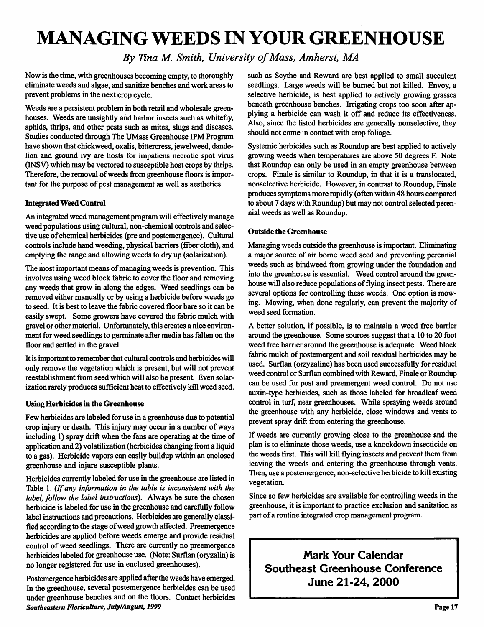# *MANAGING WEEDS IN YOUR GREENHOUSE*

**By** Tina M. Smith, University of Mass, Amherst, MA

Now is the time, with greenhouses becoming empty, to thoroughly eliminate weeds and algae, and sanitize benches and work areas to prevent problems in the next crop cycle.

Weeds are a persistent problem in both retail and wholesale green houses. Weeds are unsightly and harbor insects such as whitefly, aphids, thrips, and other pests such as mites, slugs and diseases. Studies conducted through The UMass Greenhouse IPM Program have shown that chickweed, oxalis, bittercress, jewelweed, dandelion and ground ivy are hosts for impatiens necrotic spot virus (INSV) which may be vectored to susceptible host crops by thrips. Therefore, the removal of weeds from greenhouse floors is important for the purpose of pest management as well as aesthetics.

### *Integrated Weed Control*

An integrated weed management program will effectively manage weed populations using cultural, non-chemical controls and selec tive use of chemical herbicides (pre and postemergence). Cultural controls include hand weeding, physical barriers (fiber cloth), and emptying the range and allowing weeds to dry up (solarization).

The most important means of managing weeds is prevention. This involves using weed block fabric to cover the floor and removing any weeds that grow in along the edges. Weed seedlings can be removed either manually or by using a herbicide before weeds go to seed. It is best to leave the fabric covered floor bare so it can be easily swept. Some growers have covered the fabric mulch with gravel or other material. Unfortunately, this creates a nice environment for weed seedlings to germinate after media has fallen on the floor and settled in the gravel.

It is important to remember that cultural controls and herbicides will only remove the vegetation which is present, but will not prevent reestablishment from seed which will also be present. Even solar ization rarely produces sufficient heat to effectively kill weed seed.

#### Using *Herbicides in the Greenhouse*

Few herbicides are labeled for use in a greenhouse due to potential crop injury or death. This injury may occur in a number of ways including 1) spray drift when the fans are operating at the time of application and 2) volatilization (herbicides changing from a liquid to a gas). Herbicide vapors can easily buildup within an enclosed greenhouse and injure susceptible plants.

Herbicides currently labeled for use in the greenhouse are listed in Table 1. **{Ifany information in the table is inconsistent with the label, follow the label instructions).** Always be sure the chosen herbicide is labeled for use in the greenhouse and carefully follow label instructions and precautions. Herbicides are generally classi fied according to the stage of weed growth affected. Preemergence herbicides are applied before weeds emerge and provide residual control of weed seedlings. There are currently no preemergence herbicides labeled for greenhouse use. (Note: Surflan (oryzalin) is no longer registered for use in enclosed greenhouses).

Postemergence herbicides are applied after the weeds have emerged. In the greenhouse, several postemergence herbicides can be used under greenhouse benches and on the floors. Contact herbicides **Southeastern Floriculture, July/August, 1999**

such as Scythe and Reward are best applied to small succulent seedlings. Large weeds will be burned but not killed. Envoy, a selective herbicide, is best applied to actively growing grasses beneath greenhouse benches. Irrigating crops too soon after ap plying a herbicide can wash it off and reduce its effectiveness. Also, since the listed herbicides are generally nonselective, they should not come in contact with crop foliage.

Systemic herbicides such as Roundup are best applied to actively growing weeds when temperatures are above 50 degrees F. Note that Roundup can only be used in an empty greenhouse between crops. Finale is similar to Roundup, in that it is a translocated, nonselective herbicide. However, in contrast to Roundup, Finale produces symptoms more rapidly (often within 48 hours compared to about 7 days with Roundup) but may not control selected peren nial weeds as well as Roundup.

#### *Outside the Greenhouse*

Managing weeds outside the greenhouse is important. Eliminating a major source of air borne weed seed and preventing perennial weeds such as bindweed from growing under the foundation and into the greenhouse is essential. Weed control around the green house will also reduce populations of flying insect pests. There are several options for controlling these weeds. One option is mow ing. Mowing, when done regularly, can prevent the majority of weed seed formation.

A better solution, if possible, is to maintain a weed free barrier around the greenhouse. Some sources suggest that a 10 to 20 foot weed free barrier around the greenhouse is adequate. Weed block fabric mulch of postemergent and soil residual herbicides may be used. Surflan (orzyzaline) has been used successfully for residuel weed control or Surflan combined with Reward, Finale or Roundup can be used for post and preemergent weed control. Do not use auxin-type herbicides, such as those labeled for broadleaf weed control in turf, near greenhouses. While spraying weeds around the greenhouse with any herbicide, close windows and vents to prevent spray drift from entering the greenhouse.

If weeds are currently growing close to the greenhouse and the plan is to eliminate those weeds, use a knockdown insecticide on the weeds first. This will kill flying insects and prevent them from leaving the weeds and entering the greenhouse through vents. Then, use a postemergence, non-selective herbicide to kill existing vegetation.

Since so few herbicides are available for controlling weeds in the greenhouse, it is important to practice exclusion and sanitation as part of a routine integrated crop management program.

*Mark Your Calendar Southeast Greenhouse Conference June 21-24, 2000*